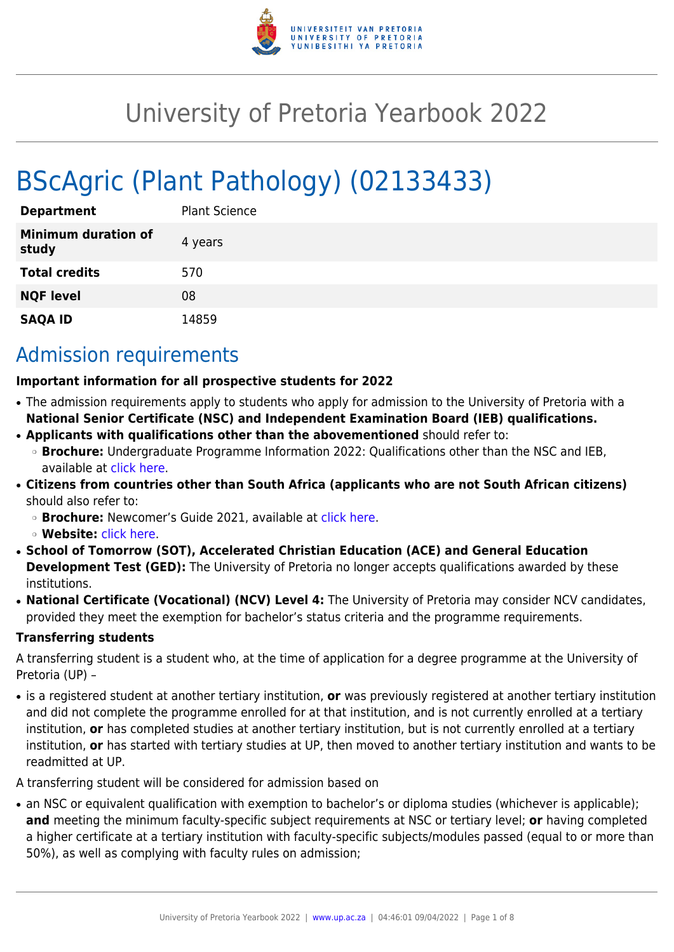

# University of Pretoria Yearbook 2022

# BScAgric (Plant Pathology) (02133433)

| <b>Department</b>                   | <b>Plant Science</b> |
|-------------------------------------|----------------------|
| <b>Minimum duration of</b><br>study | 4 years              |
| <b>Total credits</b>                | 570                  |
| <b>NQF level</b>                    | 08                   |
| <b>SAQA ID</b>                      | 14859                |

# Admission requirements

#### **Important information for all prospective students for 2022**

- The admission requirements apply to students who apply for admission to the University of Pretoria with a **National Senior Certificate (NSC) and Independent Examination Board (IEB) qualifications.**
- **Applicants with qualifications other than the abovementioned** should refer to:
- ❍ **Brochure:** Undergraduate Programme Information 2022: Qualifications other than the NSC and IEB, available at [click here.](https://www.up.ac.za/students/article/2749263/admission-information)
- **Citizens from countries other than South Africa (applicants who are not South African citizens)** should also refer to:
	- ❍ **Brochure:** Newcomer's Guide 2021, available at [click here.](https://www.up.ac.za/students/article/2749263/admission-information)
	- ❍ **Website:** [click here](http://www.up.ac.za/international-cooperation-division).
- **School of Tomorrow (SOT), Accelerated Christian Education (ACE) and General Education Development Test (GED):** The University of Pretoria no longer accepts qualifications awarded by these institutions.
- **National Certificate (Vocational) (NCV) Level 4:** The University of Pretoria may consider NCV candidates, provided they meet the exemption for bachelor's status criteria and the programme requirements.

#### **Transferring students**

A transferring student is a student who, at the time of application for a degree programme at the University of Pretoria (UP) –

● is a registered student at another tertiary institution, **or** was previously registered at another tertiary institution and did not complete the programme enrolled for at that institution, and is not currently enrolled at a tertiary institution, **or** has completed studies at another tertiary institution, but is not currently enrolled at a tertiary institution, **or** has started with tertiary studies at UP, then moved to another tertiary institution and wants to be readmitted at UP.

A transferring student will be considered for admission based on

• an NSC or equivalent qualification with exemption to bachelor's or diploma studies (whichever is applicable); **and** meeting the minimum faculty-specific subject requirements at NSC or tertiary level; **or** having completed a higher certificate at a tertiary institution with faculty-specific subjects/modules passed (equal to or more than 50%), as well as complying with faculty rules on admission;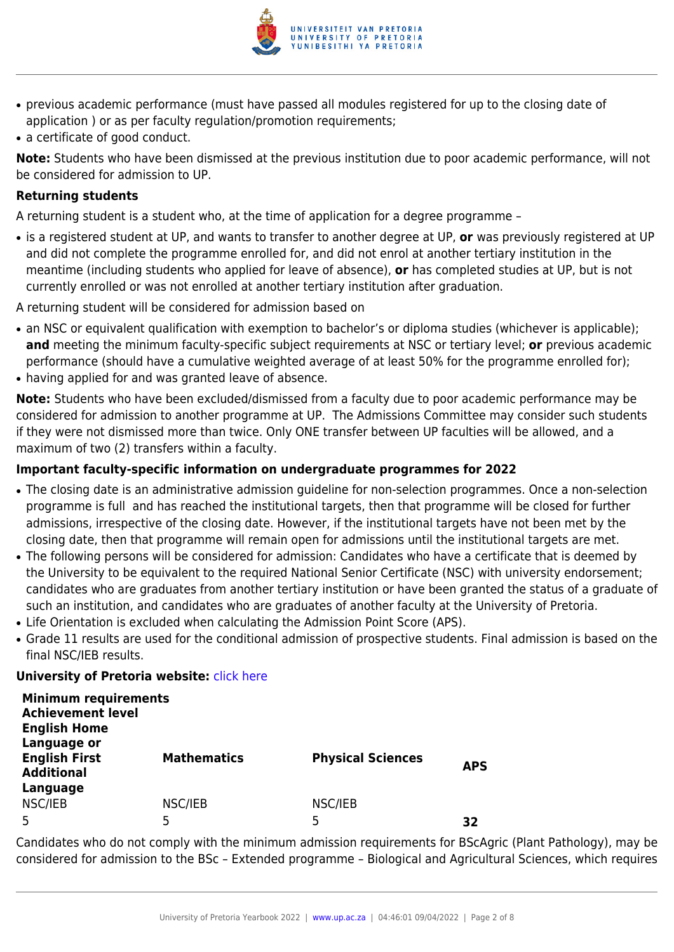

- previous academic performance (must have passed all modules registered for up to the closing date of application ) or as per faculty regulation/promotion requirements;
- a certificate of good conduct.

**Note:** Students who have been dismissed at the previous institution due to poor academic performance, will not be considered for admission to UP.

### **Returning students**

A returning student is a student who, at the time of application for a degree programme –

● is a registered student at UP, and wants to transfer to another degree at UP, **or** was previously registered at UP and did not complete the programme enrolled for, and did not enrol at another tertiary institution in the meantime (including students who applied for leave of absence), **or** has completed studies at UP, but is not currently enrolled or was not enrolled at another tertiary institution after graduation.

A returning student will be considered for admission based on

- an NSC or equivalent qualification with exemption to bachelor's or diploma studies (whichever is applicable); **and** meeting the minimum faculty-specific subject requirements at NSC or tertiary level; **or** previous academic performance (should have a cumulative weighted average of at least 50% for the programme enrolled for);
- having applied for and was granted leave of absence.

**Note:** Students who have been excluded/dismissed from a faculty due to poor academic performance may be considered for admission to another programme at UP. The Admissions Committee may consider such students if they were not dismissed more than twice. Only ONE transfer between UP faculties will be allowed, and a maximum of two (2) transfers within a faculty.

### **Important faculty-specific information on undergraduate programmes for 2022**

- The closing date is an administrative admission guideline for non-selection programmes. Once a non-selection programme is full and has reached the institutional targets, then that programme will be closed for further admissions, irrespective of the closing date. However, if the institutional targets have not been met by the closing date, then that programme will remain open for admissions until the institutional targets are met.
- The following persons will be considered for admission: Candidates who have a certificate that is deemed by the University to be equivalent to the required National Senior Certificate (NSC) with university endorsement; candidates who are graduates from another tertiary institution or have been granted the status of a graduate of such an institution, and candidates who are graduates of another faculty at the University of Pretoria.
- Life Orientation is excluded when calculating the Admission Point Score (APS).
- Grade 11 results are used for the conditional admission of prospective students. Final admission is based on the final NSC/IEB results.

#### **University of Pretoria website: [click here](http://www.up.ac.za/nas)**

| <b>Minimum requirements</b><br><b>Achievement level</b><br><b>English Home</b> |                    |                          |            |
|--------------------------------------------------------------------------------|--------------------|--------------------------|------------|
| Language or<br><b>English First</b><br><b>Additional</b>                       | <b>Mathematics</b> | <b>Physical Sciences</b> | <b>APS</b> |
| Language<br>NSC/IEB<br>5                                                       | NSC/IEB<br>5       | NSC/IEB<br>5             | 32         |

Candidates who do not comply with the minimum admission requirements for BScAgric (Plant Pathology), may be considered for admission to the BSc – Extended programme – Biological and Agricultural Sciences, which requires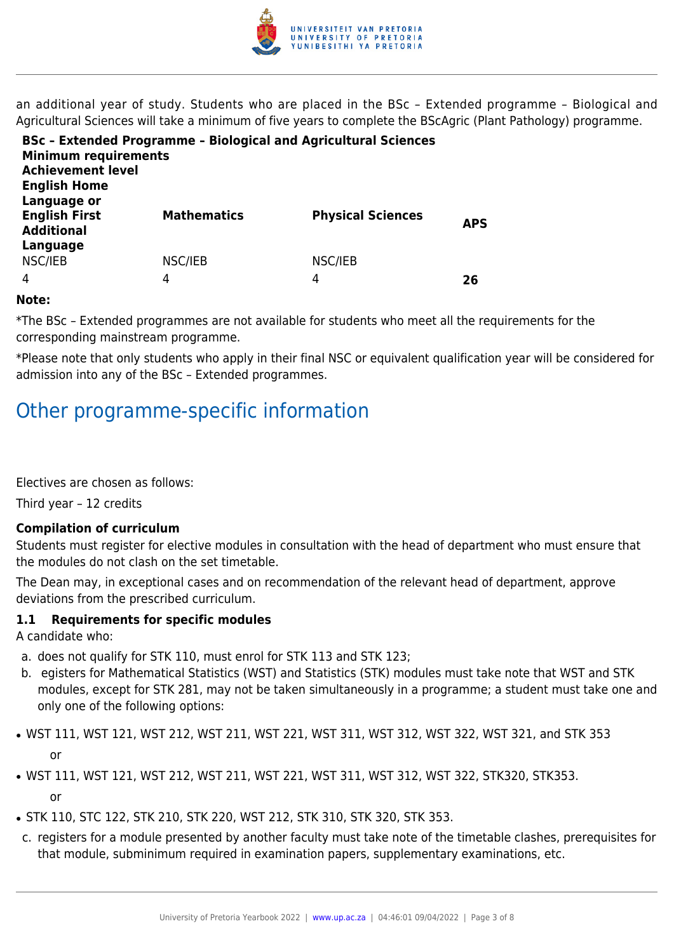

an additional year of study. Students who are placed in the BSc – Extended programme – Biological and Agricultural Sciences will take a minimum of five years to complete the BScAgric (Plant Pathology) programme.

| <b>Minimum requirements</b><br><b>Achievement level</b><br><b>English Home</b> | <b>BSc - Extended Programme - Biological and Agricultural Sciences</b> |                          |            |
|--------------------------------------------------------------------------------|------------------------------------------------------------------------|--------------------------|------------|
| Language or<br><b>English First</b><br><b>Additional</b><br>Language           | <b>Mathematics</b>                                                     | <b>Physical Sciences</b> | <b>APS</b> |
| NSC/IEB                                                                        | NSC/IEB                                                                | NSC/IEB                  |            |
| 4                                                                              | 4                                                                      | 4                        | 26         |

#### **Note:**

\*The BSc – Extended programmes are not available for students who meet all the requirements for the corresponding mainstream programme.

\*Please note that only students who apply in their final NSC or equivalent qualification year will be considered for admission into any of the BSc – Extended programmes.

# Other programme-specific information

Electives are chosen as follows:

Third year – 12 credits

#### **Compilation of curriculum**

Students must register for elective modules in consultation with the head of department who must ensure that the modules do not clash on the set timetable.

The Dean may, in exceptional cases and on recommendation of the relevant head of department, approve deviations from the prescribed curriculum.

#### **1.1 Requirements for specific modules**

A candidate who:

- a. does not qualify for STK 110, must enrol for STK 113 and STK 123;
- b. egisters for Mathematical Statistics (WST) and Statistics (STK) modules must take note that WST and STK modules, except for STK 281, may not be taken simultaneously in a programme; a student must take one and only one of the following options:
- WST 111, WST 121, WST 212, WST 211, WST 221, WST 311, WST 312, WST 322, WST 321, and STK 353 or
- WST 111, WST 121, WST 212, WST 211, WST 221, WST 311, WST 312, WST 322, STK320, STK353. or
- STK 110, STC 122, STK 210, STK 220, WST 212, STK 310, STK 320, STK 353.
- c. registers for a module presented by another faculty must take note of the timetable clashes, prerequisites for that module, subminimum required in examination papers, supplementary examinations, etc.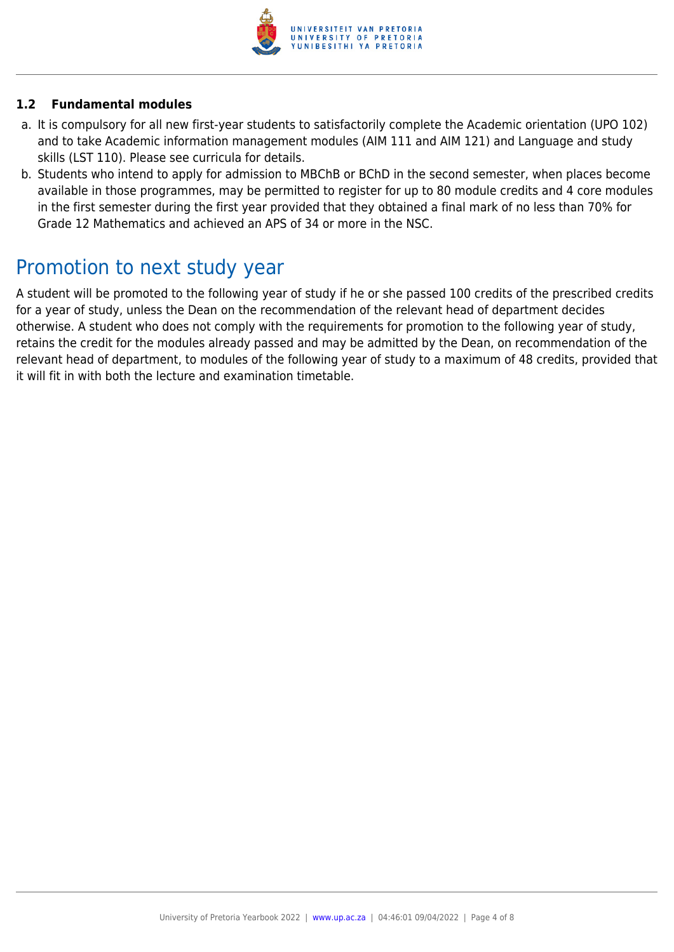

### **1.2 Fundamental modules**

- a. It is compulsory for all new first-year students to satisfactorily complete the Academic orientation (UPO 102) and to take Academic information management modules (AIM 111 and AIM 121) and Language and study skills (LST 110). Please see curricula for details.
- b. Students who intend to apply for admission to MBChB or BChD in the second semester, when places become available in those programmes, may be permitted to register for up to 80 module credits and 4 core modules in the first semester during the first year provided that they obtained a final mark of no less than 70% for Grade 12 Mathematics and achieved an APS of 34 or more in the NSC.

### Promotion to next study year

A student will be promoted to the following year of study if he or she passed 100 credits of the prescribed credits for a year of study, unless the Dean on the recommendation of the relevant head of department decides otherwise. A student who does not comply with the requirements for promotion to the following year of study, retains the credit for the modules already passed and may be admitted by the Dean, on recommendation of the relevant head of department, to modules of the following year of study to a maximum of 48 credits, provided that it will fit in with both the lecture and examination timetable.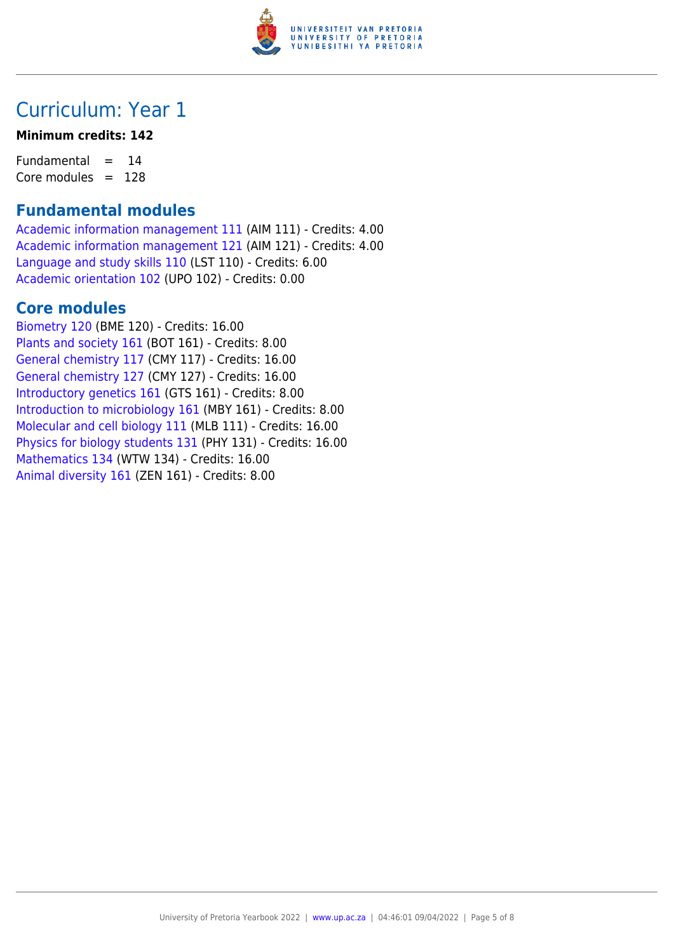

# Curriculum: Year 1

### **Minimum credits: 142**

Fundamental  $= 14$ Core modules  $= 128$ 

### **Fundamental modules**

[Academic information management 111](https://www.up.ac.za/mechanical-and-aeronautical-engineering/yearbooks/2022/modules/view/AIM 111) (AIM 111) - Credits: 4.00 [Academic information management 121](https://www.up.ac.za/mechanical-and-aeronautical-engineering/yearbooks/2022/modules/view/AIM 121) (AIM 121) - Credits: 4.00 [Language and study skills 110](https://www.up.ac.za/mechanical-and-aeronautical-engineering/yearbooks/2022/modules/view/LST 110) (LST 110) - Credits: 6.00 [Academic orientation 102](https://www.up.ac.za/mechanical-and-aeronautical-engineering/yearbooks/2022/modules/view/UPO 102) (UPO 102) - Credits: 0.00

### **Core modules**

[Biometry 120](https://www.up.ac.za/mechanical-and-aeronautical-engineering/yearbooks/2022/modules/view/BME 120) (BME 120) - Credits: 16.00 [Plants and society 161](https://www.up.ac.za/mechanical-and-aeronautical-engineering/yearbooks/2022/modules/view/BOT 161) (BOT 161) - Credits: 8.00 [General chemistry 117](https://www.up.ac.za/mechanical-and-aeronautical-engineering/yearbooks/2022/modules/view/CMY 117) (CMY 117) - Credits: 16.00 [General chemistry 127](https://www.up.ac.za/mechanical-and-aeronautical-engineering/yearbooks/2022/modules/view/CMY 127) (CMY 127) - Credits: 16.00 [Introductory genetics 161](https://www.up.ac.za/mechanical-and-aeronautical-engineering/yearbooks/2022/modules/view/GTS 161) (GTS 161) - Credits: 8.00 [Introduction to microbiology 161](https://www.up.ac.za/mechanical-and-aeronautical-engineering/yearbooks/2022/modules/view/MBY 161) (MBY 161) - Credits: 8.00 [Molecular and cell biology 111](https://www.up.ac.za/mechanical-and-aeronautical-engineering/yearbooks/2022/modules/view/MLB 111) (MLB 111) - Credits: 16.00 [Physics for biology students 131](https://www.up.ac.za/mechanical-and-aeronautical-engineering/yearbooks/2022/modules/view/PHY 131) (PHY 131) - Credits: 16.00 [Mathematics 134](https://www.up.ac.za/mechanical-and-aeronautical-engineering/yearbooks/2022/modules/view/WTW 134) (WTW 134) - Credits: 16.00 [Animal diversity 161](https://www.up.ac.za/mechanical-and-aeronautical-engineering/yearbooks/2022/modules/view/ZEN 161) (ZEN 161) - Credits: 8.00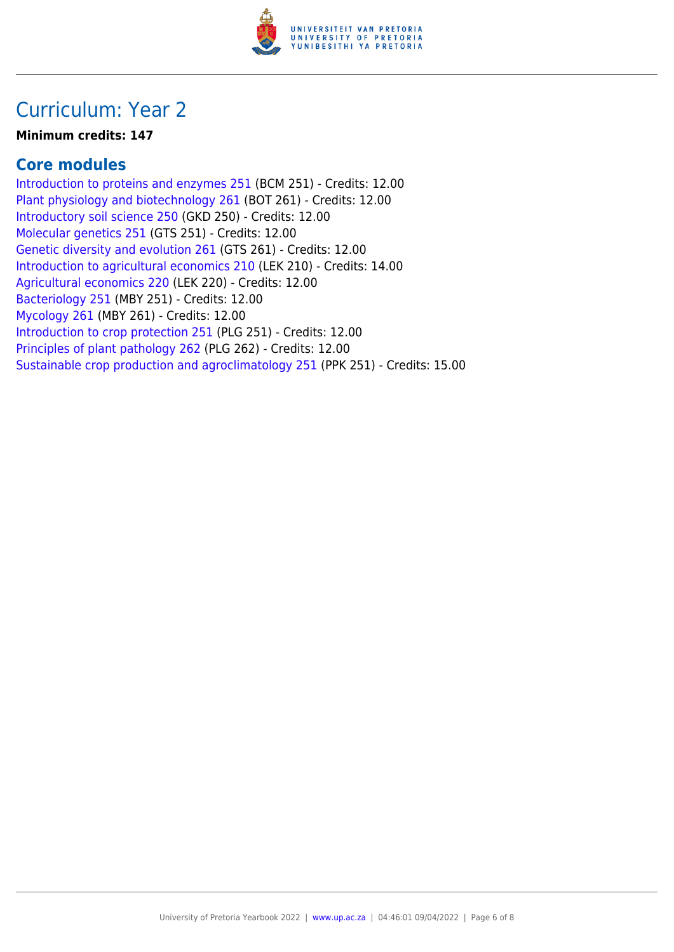

# Curriculum: Year 2

### **Minimum credits: 147**

### **Core modules**

[Introduction to proteins and enzymes 251](https://www.up.ac.za/mechanical-and-aeronautical-engineering/yearbooks/2022/modules/view/BCM 251) (BCM 251) - Credits: 12.00 [Plant physiology and biotechnology 261](https://www.up.ac.za/mechanical-and-aeronautical-engineering/yearbooks/2022/modules/view/BOT 261) (BOT 261) - Credits: 12.00 [Introductory soil science 250](https://www.up.ac.za/mechanical-and-aeronautical-engineering/yearbooks/2022/modules/view/GKD 250) (GKD 250) - Credits: 12.00 [Molecular genetics 251](https://www.up.ac.za/mechanical-and-aeronautical-engineering/yearbooks/2022/modules/view/GTS 251) (GTS 251) - Credits: 12.00 [Genetic diversity and evolution 261](https://www.up.ac.za/mechanical-and-aeronautical-engineering/yearbooks/2022/modules/view/GTS 261) (GTS 261) - Credits: 12.00 [Introduction to agricultural economics 210](https://www.up.ac.za/mechanical-and-aeronautical-engineering/yearbooks/2022/modules/view/LEK 210) (LEK 210) - Credits: 14.00 [Agricultural economics 220](https://www.up.ac.za/mechanical-and-aeronautical-engineering/yearbooks/2022/modules/view/LEK 220) (LEK 220) - Credits: 12.00 [Bacteriology 251](https://www.up.ac.za/mechanical-and-aeronautical-engineering/yearbooks/2022/modules/view/MBY 251) (MBY 251) - Credits: 12.00 [Mycology 261](https://www.up.ac.za/mechanical-and-aeronautical-engineering/yearbooks/2022/modules/view/MBY 261) (MBY 261) - Credits: 12.00 [Introduction to crop protection 251](https://www.up.ac.za/mechanical-and-aeronautical-engineering/yearbooks/2022/modules/view/PLG 251) (PLG 251) - Credits: 12.00 [Principles of plant pathology 262](https://www.up.ac.za/mechanical-and-aeronautical-engineering/yearbooks/2022/modules/view/PLG 262) (PLG 262) - Credits: 12.00 [Sustainable crop production and agroclimatology 251](https://www.up.ac.za/mechanical-and-aeronautical-engineering/yearbooks/2022/modules/view/PPK 251) (PPK 251) - Credits: 15.00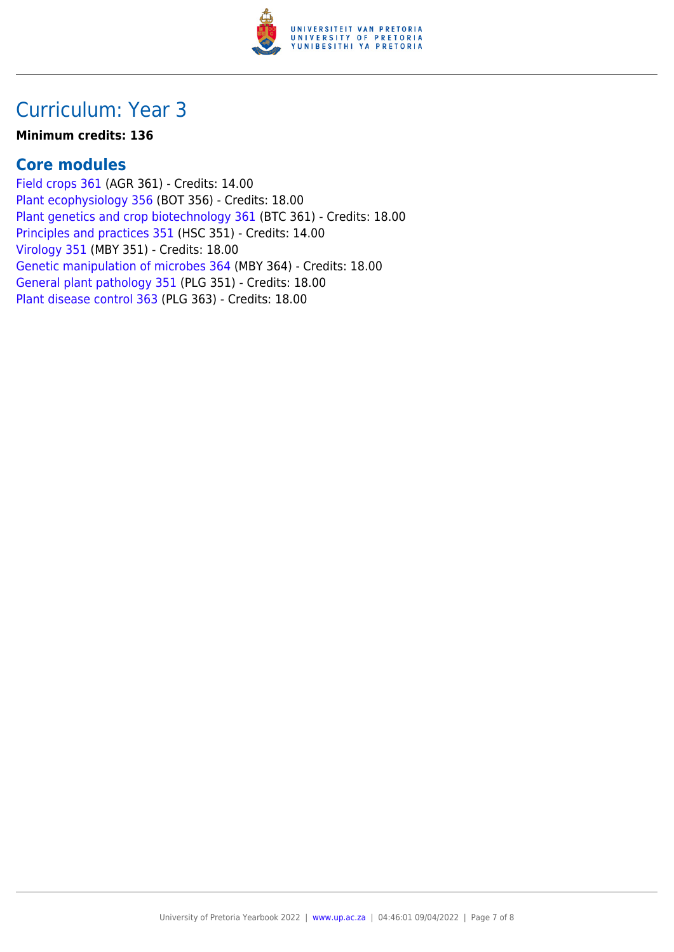

## Curriculum: Year 3

### **Minimum credits: 136**

### **Core modules**

[Field crops 361](https://www.up.ac.za/mechanical-and-aeronautical-engineering/yearbooks/2022/modules/view/AGR 361) (AGR 361) - Credits: 14.00 [Plant ecophysiology 356](https://www.up.ac.za/mechanical-and-aeronautical-engineering/yearbooks/2022/modules/view/BOT 356) (BOT 356) - Credits: 18.00 [Plant genetics and crop biotechnology 361](https://www.up.ac.za/mechanical-and-aeronautical-engineering/yearbooks/2022/modules/view/BTC 361) (BTC 361) - Credits: 18.00 [Principles and practices 351](https://www.up.ac.za/mechanical-and-aeronautical-engineering/yearbooks/2022/modules/view/HSC 351) (HSC 351) - Credits: 14.00 [Virology 351](https://www.up.ac.za/mechanical-and-aeronautical-engineering/yearbooks/2022/modules/view/MBY 351) (MBY 351) - Credits: 18.00 [Genetic manipulation of microbes 364](https://www.up.ac.za/mechanical-and-aeronautical-engineering/yearbooks/2022/modules/view/MBY 364) (MBY 364) - Credits: 18.00 [General plant pathology 351](https://www.up.ac.za/mechanical-and-aeronautical-engineering/yearbooks/2022/modules/view/PLG 351) (PLG 351) - Credits: 18.00 [Plant disease control 363](https://www.up.ac.za/mechanical-and-aeronautical-engineering/yearbooks/2022/modules/view/PLG 363) (PLG 363) - Credits: 18.00